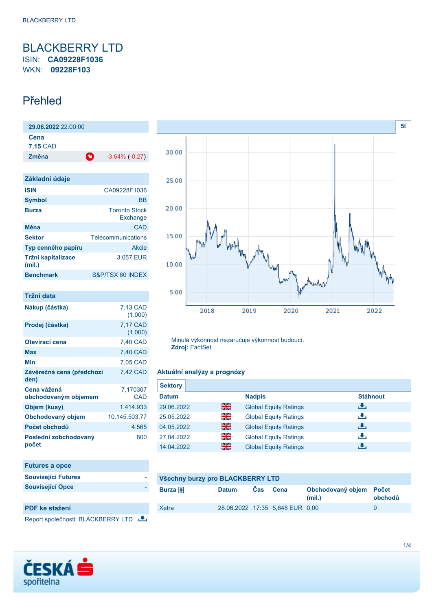## <span id="page-0-0"></span>BLACKBERRY LTD ISIN: **CA09228F1036** WKN: **09228F103**

## Přehled

| 29.06.2022 22:00:00          |                                  |
|------------------------------|----------------------------------|
| Cena<br>7,15 CAD             |                                  |
| Změna                        | O<br>$-3,64\%$ ( $-0,27$ )       |
|                              |                                  |
| Základní údaje               |                                  |
| <b>ISIN</b>                  | CA09228F1036                     |
| <b>Symbol</b>                | <b>BB</b>                        |
| <b>Burza</b>                 | <b>Toronto Stock</b><br>Exchange |
| Měna                         | CAD                              |
| <b>Sektor</b>                | Telecommunications               |
| Typ cenného papíru           | Akcie                            |
| Tržní kapitalizace<br>(mil.) | 3.057 EUR                        |
| <b>Benchmark</b>             | S&P/TSX 60 INDEX                 |

| Tržní data                          |                     |
|-------------------------------------|---------------------|
| Nákup (částka)                      | 7,13 CAD<br>(1.000) |
| Prodej (částka)                     | 7,17 CAD<br>(1.000) |
| Otevírací cena                      | 7,40 CAD            |
| Max                                 | 7,40 CAD            |
| Min                                 | 7,05 CAD            |
| Závěrečná cena (předchozí<br>den)   | 7,42 CAD            |
| Cena vážená<br>obchodovaným objemem | 7,170307<br>CAD     |
| Objem (kusy)                        | 1414933             |
| Obchodovaný objem                   | 10.145.503,77       |
| Počet obchodů                       | 4.565               |
| Poslední zobchodovaný<br>počet      | 800                 |

| <b>Futures a opce</b>      |
|----------------------------|
| <b>Související Futures</b> |
| <b>Související Opce</b>    |
|                            |

## **PDF ke stažení**

Report společnosti: BLACKBERRY LTD





Minulá výkonnost nezaručuje výkonnost budoucí. **Zdroj:** FactSet

#### **Aktuální analýzy a prognózy**

| <b>Sektory</b> |    |                              |                 |
|----------------|----|------------------------------|-----------------|
| <b>Datum</b>   |    | <b>Nadpis</b>                | <b>Stáhnout</b> |
| 29.06.2022     | 읡쭍 | <b>Global Equity Ratings</b> | رنان            |
| 25.05.2022     | 읡  | <b>Global Equity Ratings</b> | رنان            |
| 04.05.2022     | 을중 | <b>Global Equity Ratings</b> | رالى            |
| 27.04.2022     | 읡k | <b>Global Equity Ratings</b> | رنان            |
| 14.04.2022     | 을중 | <b>Global Equity Ratings</b> | æ,              |

| Burza $\bigoplus$<br>Cas.<br>Obchodovaný objem Počet<br><b>Datum</b><br>Cena<br>obchodů<br>(mil.)<br>28.06.2022 17:35 5,648 EUR 0,00<br>Xetra<br>9 | Všechny burzy pro BLACKBERRY LTD |  |  |  |  |  |
|----------------------------------------------------------------------------------------------------------------------------------------------------|----------------------------------|--|--|--|--|--|
|                                                                                                                                                    |                                  |  |  |  |  |  |
|                                                                                                                                                    |                                  |  |  |  |  |  |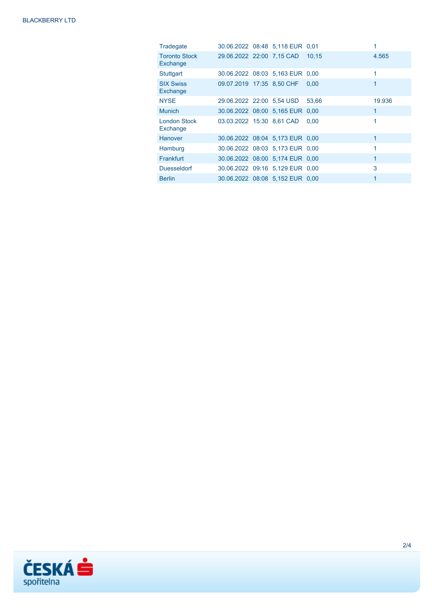| Tradegate                        |                                 | 30.06.2022 08:48 5,118 EUR 0,01 |       |              |
|----------------------------------|---------------------------------|---------------------------------|-------|--------------|
| <b>Toronto Stock</b><br>Exchange | 29.06.2022 22:00 7.15 CAD       |                                 | 10.15 | 4.565        |
| Stuttgart                        |                                 | 30.06.2022 08:03 5,163 EUR 0,00 |       | 1            |
| <b>SIX Swiss</b><br>Exchange     | 09.07.2019 17:35 8.50 CHF       |                                 | 0.00  | 1            |
| <b>NYSE</b>                      | 29.06.2022 22:00 5.54 USD       |                                 | 53,66 | 19.936       |
| <b>Munich</b>                    | 30.06.2022 08:00 5,165 EUR 0,00 |                                 |       | $\mathbf{1}$ |
| <b>London Stock</b><br>Exchange  | 03.03.2022 15:30 8.61 CAD       |                                 | 0.00  | 1            |
| Hanover                          |                                 | 30.06.2022 08:04 5,173 EUR 0,00 |       | 1            |
| Hamburg                          |                                 | 30.06.2022 08:03 5,173 EUR 0,00 |       | 1            |
| <b>Frankfurt</b>                 |                                 | 30.06.2022 08:00 5,174 EUR 0,00 |       | $\mathbf{1}$ |
| <b>Duesseldorf</b>               |                                 | 30.06.2022 09:16 5,129 EUR 0,00 |       | 3            |
| <b>Berlin</b>                    |                                 | 30.06.2022 08:08 5,152 EUR 0,00 |       |              |

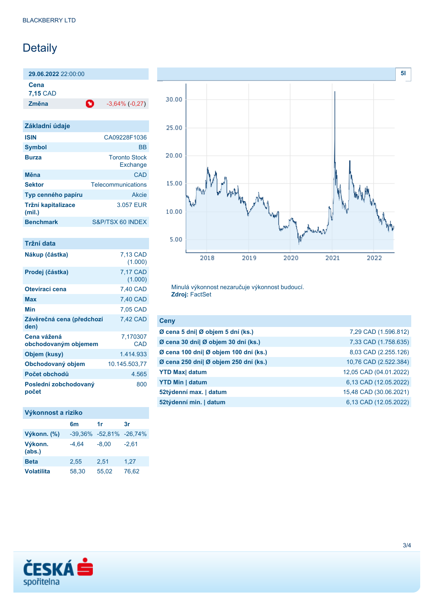# Detaily

**29.06.2022** 22:00:00

**Cena**

**7,15** CAD

**Změna** -3,64% (-0,27)

| Základní údaje                      |                                  |
|-------------------------------------|----------------------------------|
| <b>ISIN</b>                         | CA09228F1036                     |
| <b>Symbol</b>                       | <b>BB</b>                        |
| <b>Burza</b>                        | <b>Toronto Stock</b><br>Exchange |
| Měna                                | CAD                              |
| <b>Sektor</b>                       | Telecommunications               |
| Typ cenného papíru                  | Akcie                            |
| <b>Tržní kapitalizace</b><br>(mil.) | 3.057 EUR                        |
| <b>Benchmark</b>                    | S&P/TSX 60 INDEX                 |

| Tržní data                          |                     |
|-------------------------------------|---------------------|
| Nákup (částka)                      | 7,13 CAD<br>(1.000) |
| Prodej (částka)                     | 7,17 CAD<br>(1.000) |
| Otevírací cena                      | 7,40 CAD            |
| Max                                 | 7,40 CAD            |
| Min                                 | 7,05 CAD            |
| Závěrečná cena (předchozí<br>den)   | 7,42 CAD            |
| Cena vážená<br>obchodovaným objemem | 7,170307<br>CAD     |
| Objem (kusy)                        | 1414933             |
| Obchodovaný objem                   | 10.145.503,77       |
| Počet obchodů                       | 4.565               |
| Poslední zobchodovaný<br>počet      | 800                 |

## **Výkonnost a riziko**

|                   | 6m      | 1r                           | 3r      |
|-------------------|---------|------------------------------|---------|
| Výkonn. (%)       |         | $-39,36\% -52,81\% -26,74\%$ |         |
| Výkonn.<br>(abs.) | $-4.64$ | $-8,00$                      | $-2.61$ |
| <b>Beta</b>       | 2.55    | 2,51                         | 1,27    |
| <b>Volatilita</b> | 58.30   | 55,02                        | 76,62   |



Minulá výkonnost nezaručuje výkonnost budoucí. **Zdroj:** FactSet

| <b>Ceny</b>                           |                        |
|---------------------------------------|------------------------|
| Ø cena 5 dní  Ø objem 5 dní (ks.)     | 7,29 CAD (1.596.812)   |
| Ø cena 30 dní  Ø objem 30 dní (ks.)   | 7,33 CAD (1.758.635)   |
| Ø cena 100 dní  Ø objem 100 dní (ks.) | 8,03 CAD (2.255.126)   |
| Ø cena 250 dní  Ø objem 250 dní (ks.) | 10,76 CAD (2.522.384)  |
| <b>YTD Max</b> datum                  | 12,05 CAD (04.01.2022) |
| <b>YTD Min   datum</b>                | 6,13 CAD (12.05.2022)  |
| 52týdenní max.   datum                | 15,48 CAD (30.06.2021) |
| 52týdenní min.   datum                | 6,13 CAD (12.05.2022)  |
|                                       |                        |